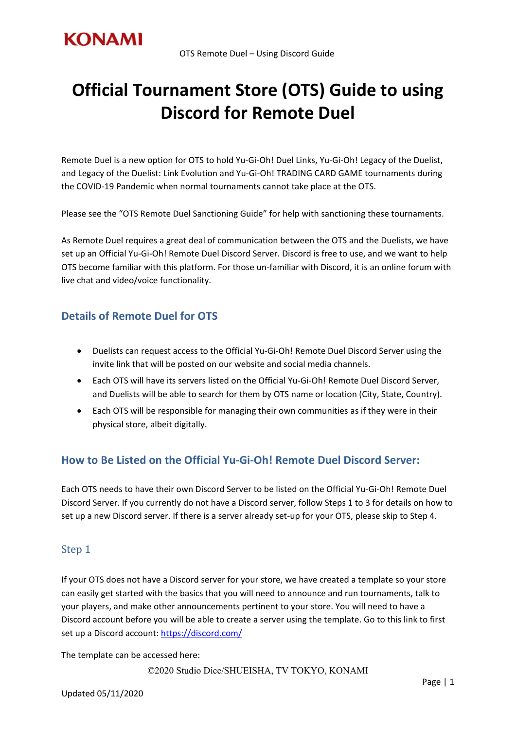

# **Official Tournament Store (OTS) Guide to using Discord for Remote Duel**

Remote Duel is a new option for OTS to hold Yu-Gi-Oh! Duel Links, Yu-Gi-Oh! Legacy of the Duelist, and Legacy of the Duelist: Link Evolution and Yu-Gi-Oh! TRADING CARD GAME tournaments during the COVID-19 Pandemic when normal tournaments cannot take place at the OTS.

Please see the "OTS Remote Duel Sanctioning Guide" for help with sanctioning these tournaments.

As Remote Duel requires a great deal of communication between the OTS and the Duelists, we have set up an Official Yu-Gi-Oh! Remote Duel Discord Server. Discord is free to use, and we want to help OTS become familiar with this platform. For those un-familiar with Discord, it is an online forum with live chat and video/voice functionality.

## **Details of Remote Duel for OTS**

- Duelists can request access to the Official Yu-Gi-Oh! Remote Duel Discord Server using the invite link that will be posted on our website and social media channels.
- Each OTS will have its servers listed on the Official Yu-Gi-Oh! Remote Duel Discord Server, and Duelists will be able to search for them by OTS name or location (City, State, Country).
- Each OTS will be responsible for managing their own communities as if they were in their physical store, albeit digitally.

## **How to Be Listed on the Official Yu-Gi-Oh! Remote Duel Discord Server:**

Each OTS needs to have their own Discord Server to be listed on the Official Yu-Gi-Oh! Remote Duel Discord Server. If you currently do not have a Discord server, follow Steps 1 to 3 for details on how to set up a new Discord server. If there is a server already set-up for your OTS, please skip to Step 4.

### Step 1

If your OTS does not have a Discord server for your store, we have created a template so your store can easily get started with the basics that you will need to announce and run tournaments, talk to your players, and make other announcements pertinent to your store. You will need to have a Discord account before you will be able to create a server using the template. Go to this link to first set up a Discord account:<https://discord.com/>

The template can be accessed here: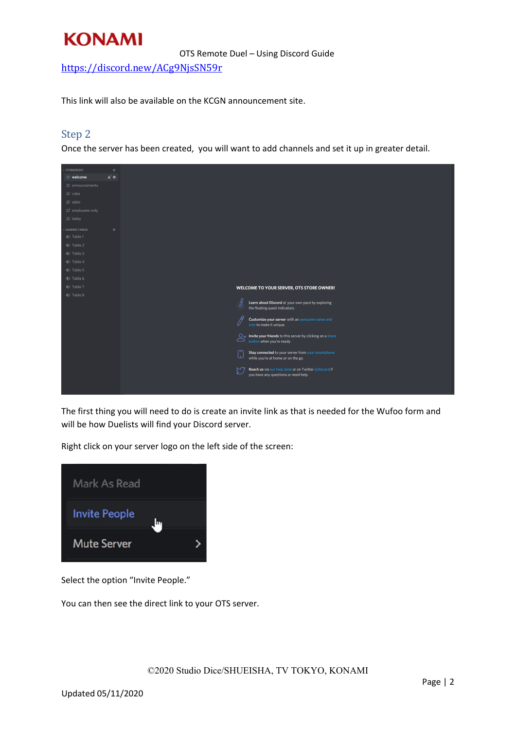<https://discord.new/ACg9NjsSN59r>

This link will also be available on the KCGN announcement site.

### Step 2

Once the server has been created, you will want to add channels and set it up in greater detail.



The first thing you will need to do is create an invite link as that is needed for the Wufoo form and will be how Duelists will find your Discord server.

Right click on your server logo on the left side of the screen:



Select the option "Invite People."

You can then see the direct link to your OTS server.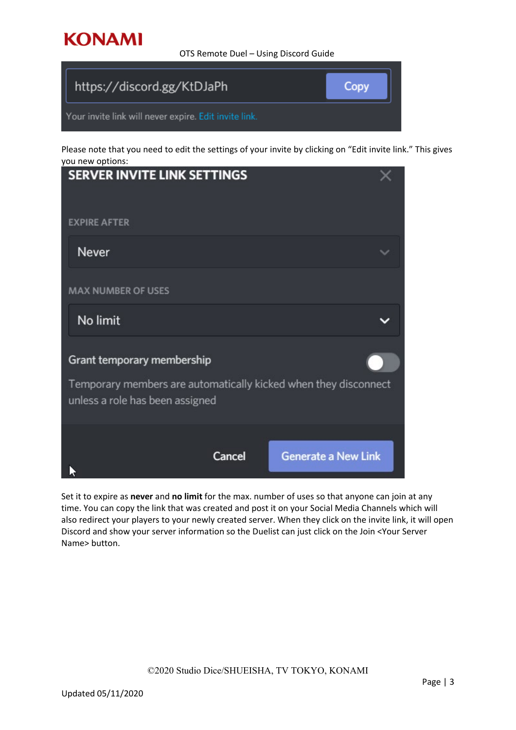OTS Remote Duel – Using Discord Guide

| https://discord.gg/KtDJaPh                            | Copy |
|-------------------------------------------------------|------|
| Your invite link will never expire. Edit invite link. |      |

Please note that you need to edit the settings of your invite by clicking on "Edit invite link." This gives you new options:

| <b>SERVER INVITE LINK SETTINGS</b>                                                                 |        |                            |  |
|----------------------------------------------------------------------------------------------------|--------|----------------------------|--|
| <b>EXPIRE AFTER</b>                                                                                |        |                            |  |
| Never                                                                                              |        |                            |  |
| <b>MAX NUMBER OF USES</b>                                                                          |        |                            |  |
| No limit                                                                                           |        |                            |  |
| Grant temporary membership                                                                         |        |                            |  |
| Temporary members are automatically kicked when they disconnect<br>unless a role has been assigned |        |                            |  |
|                                                                                                    | Cancel | <b>Generate a New Link</b> |  |

Set it to expire as **never** and **no limit** for the max. number of uses so that anyone can join at any time. You can copy the link that was created and post it on your Social Media Channels which will also redirect your players to your newly created server. When they click on the invite link, it will open Discord and show your server information so the Duelist can just click on the Join <Your Server Name> button.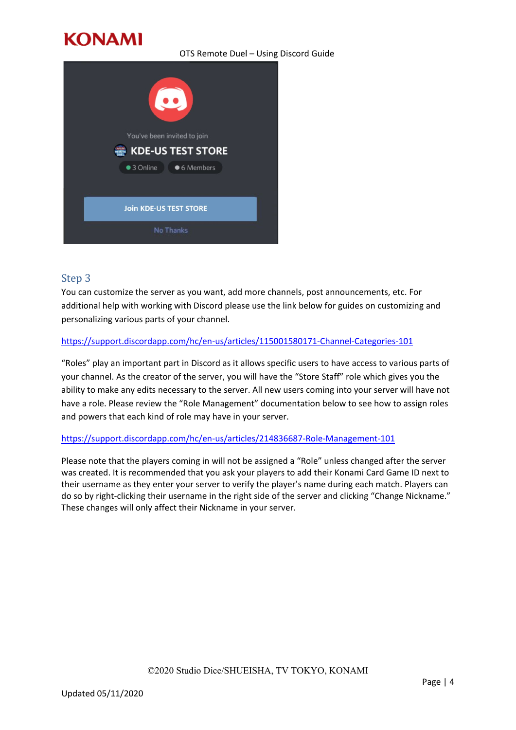#### OTS Remote Duel – Using Discord Guide



### Step 3

You can customize the server as you want, add more channels, post announcements, etc. For additional help with working with Discord please use the link below for guides on customizing and personalizing various parts of your channel.

#### <https://support.discordapp.com/hc/en-us/articles/115001580171-Channel-Categories-101>

"Roles" play an important part in Discord as it allows specific users to have access to various parts of your channel. As the creator of the server, you will have the "Store Staff" role which gives you the ability to make any edits necessary to the server. All new users coming into your server will have not have a role. Please review the "Role Management" documentation below to see how to assign roles and powers that each kind of role may have in your server.

#### <https://support.discordapp.com/hc/en-us/articles/214836687-Role-Management-101>

Please note that the players coming in will not be assigned a "Role" unless changed after the server was created. It is recommended that you ask your players to add their Konami Card Game ID next to their username as they enter your server to verify the player's name during each match. Players can do so by right-clicking their username in the right side of the server and clicking "Change Nickname." These changes will only affect their Nickname in your server.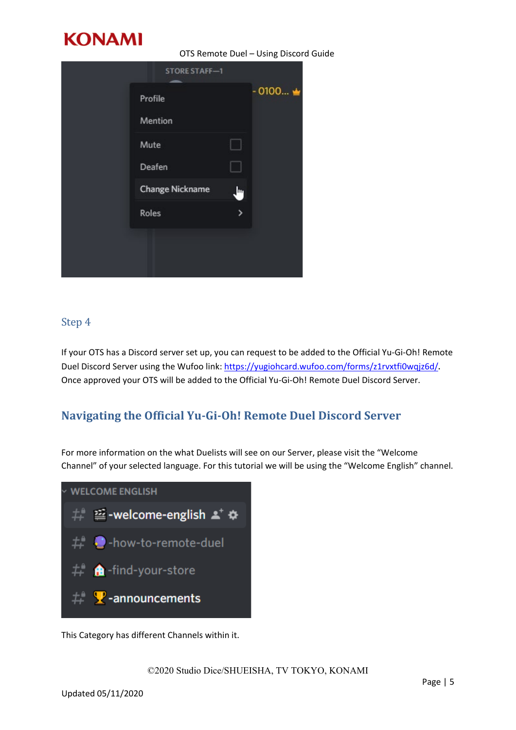

OTS Remote Duel – Using Discord Guide

| <b>STORE STAFF-1</b>   |               |           |
|------------------------|---------------|-----------|
| Profile                |               | $-0100$ → |
| Mention                |               |           |
| Mute                   |               |           |
| <b>Deafen</b>          |               |           |
| <b>Change Nickname</b> | և             |           |
| Roles                  | $\rightarrow$ |           |
|                        |               |           |
|                        |               |           |

### Step 4

If your OTS has a Discord server set up, you can request to be added to the Official Yu-Gi-Oh! Remote Duel Discord Server using the Wufoo link: <https://yugiohcard.wufoo.com/forms/z1rvxtfi0wqjz6d/>. Once approved your OTS will be added to the Official Yu-Gi-Oh! Remote Duel Discord Server.

# **Navigating the Official Yu-Gi-Oh! Remote Duel Discord Server**

For more information on the what Duelists will see on our Server, please visit the "Welcome Channel" of your selected language. For this tutorial we will be using the "Welcome English" channel.



This Category has different Channels within it.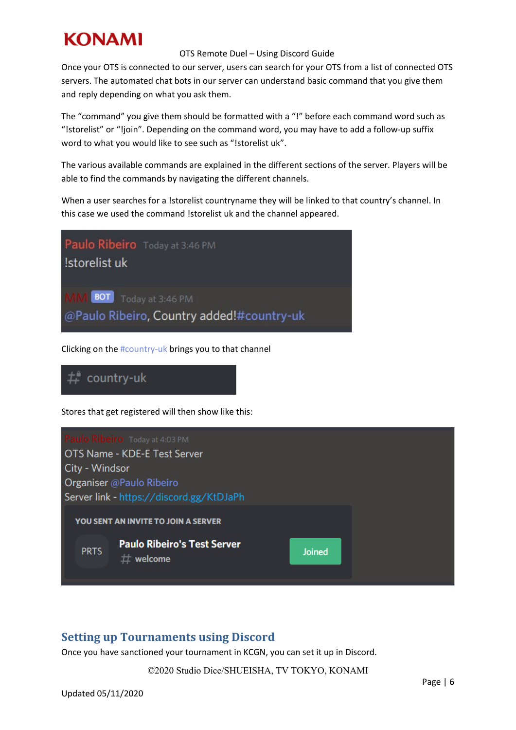#### OTS Remote Duel – Using Discord Guide

Once your OTS is connected to our server, users can search for your OTS from a list of connected OTS servers. The automated chat bots in our server can understand basic command that you give them and reply depending on what you ask them.

The "command" you give them should be formatted with a "!" before each command word such as "!storelist" or "!join". Depending on the command word, you may have to add a follow-up suffix word to what you would like to see such as "!storelist uk".

The various available commands are explained in the different sections of the server. Players will be able to find the commands by navigating the different channels.

When a user searches for a !storelist countryname they will be linked to that country's channel. In this case we used the command !storelist uk and the channel appeared.



Clicking on the #country-uk brings you to that channel



Stores that get registered will then show like this:



## **Setting up Tournaments using Discord**

Once you have sanctioned your tournament in KCGN, you can set it up in Discord.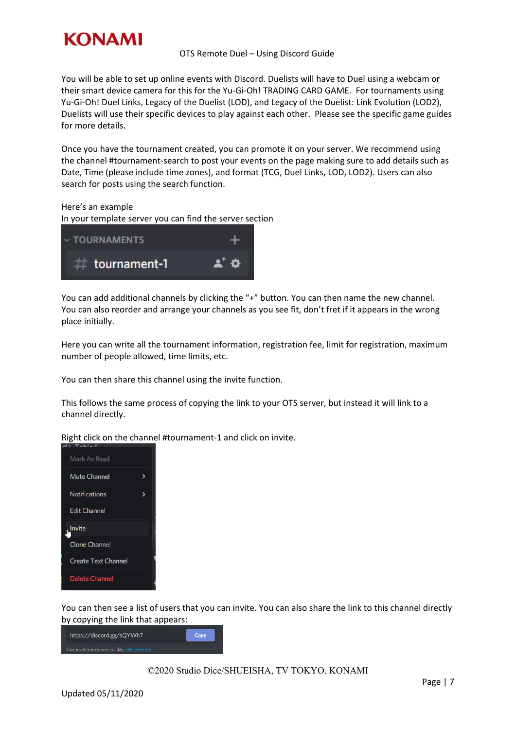

#### OTS Remote Duel – Using Discord Guide

You will be able to set up online events with Discord. Duelists will have to Duel using a webcam or their smart device camera for this for the Yu-Gi-Oh! TRADING CARD GAME. For tournaments using Yu-Gi-Oh! Duel Links, Legacy of the Duelist (LOD), and Legacy of the Duelist: Link Evolution (LOD2), Duelists will use their specific devices to play against each other. Please see the specific game guides for more details.

Once you have the tournament created, you can promote it on your server. We recommend using the channel #tournament-search to post your events on the page making sure to add details such as Date, Time (please include time zones), and format (TCG, Duel Links, LOD, LOD2). Users can also search for posts using the search function.

Here's an example

In your template server you can find the server section



You can add additional channels by clicking the "+" button. You can then name the new channel. You can also reorder and arrange your channels as you see fit, don't fret if it appears in the wrong place initially.

Here you can write all the tournament information, registration fee, limit for registration, maximum number of people allowed, time limits, etc.

You can then share this channel using the invite function.

This follows the same process of copying the link to your OTS server, but instead it will link to a channel directly.

Right click on the channel #tournament-1 and click on invite.



You can then see a list of users that you can invite. You can also share the link to this channel directly by copying the link that appears: